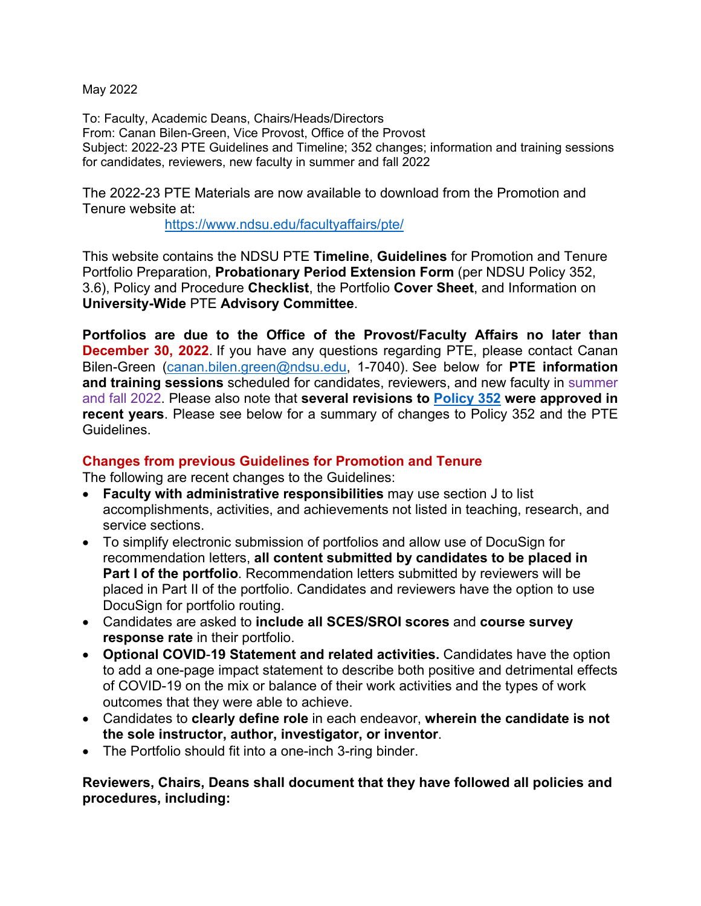May 2022

To: Faculty, Academic Deans, Chairs/Heads/Directors From: Canan Bilen-Green, Vice Provost, Office of the Provost Subject: 2022-23 PTE Guidelines and Timeline; 352 changes; information and training sessions for candidates, reviewers, new faculty in summer and fall 2022

The 2022-23 PTE Materials are now available to download from the Promotion and Tenure website at:

https://www.ndsu.edu/facultyaffairs/pte/

This website contains the NDSU PTE **Timeline**, **Guidelines** for Promotion and Tenure Portfolio Preparation, **Probationary Period Extension Form** (per NDSU Policy 352, 3.6), Policy and Procedure **Checklist**, the Portfolio **Cover Sheet**, and Information on **University-Wide** PTE **Advisory Committee**.

**Portfolios are due to the Office of the Provost/Faculty Affairs no later than December 30, 2022**. If you have any questions regarding PTE, please contact Canan Bilen-Green (canan.bilen.green@ndsu.edu, 1-7040). See below for **PTE information and training sessions** scheduled for candidates, reviewers, and new faculty in summer and fall 2022. Please also note that **several revisions to Policy 352 were approved in recent years**. Please see below for a summary of changes to Policy 352 and the PTE Guidelines.

### **Changes from previous Guidelines for Promotion and Tenure**

The following are recent changes to the Guidelines:

- **Faculty with administrative responsibilities** may use section J to list accomplishments, activities, and achievements not listed in teaching, research, and service sections.
- To simplify electronic submission of portfolios and allow use of DocuSign for recommendation letters, **all content submitted by candidates to be placed in Part I of the portfolio**. Recommendation letters submitted by reviewers will be placed in Part II of the portfolio. Candidates and reviewers have the option to use DocuSign for portfolio routing.
- Candidates are asked to **include all SCES/SROI scores** and **course survey response rate** in their portfolio.
- **Optional COVID**-**19 Statement and related activities.** Candidates have the option to add a one-page impact statement to describe both positive and detrimental effects of COVID-19 on the mix or balance of their work activities and the types of work outcomes that they were able to achieve.
- Candidates to **clearly define role** in each endeavor, **wherein the candidate is not the sole instructor, author, investigator, or inventor**.
- The Portfolio should fit into a one-inch 3-ring binder.

**Reviewers, Chairs, Deans shall document that they have followed all policies and procedures, including:**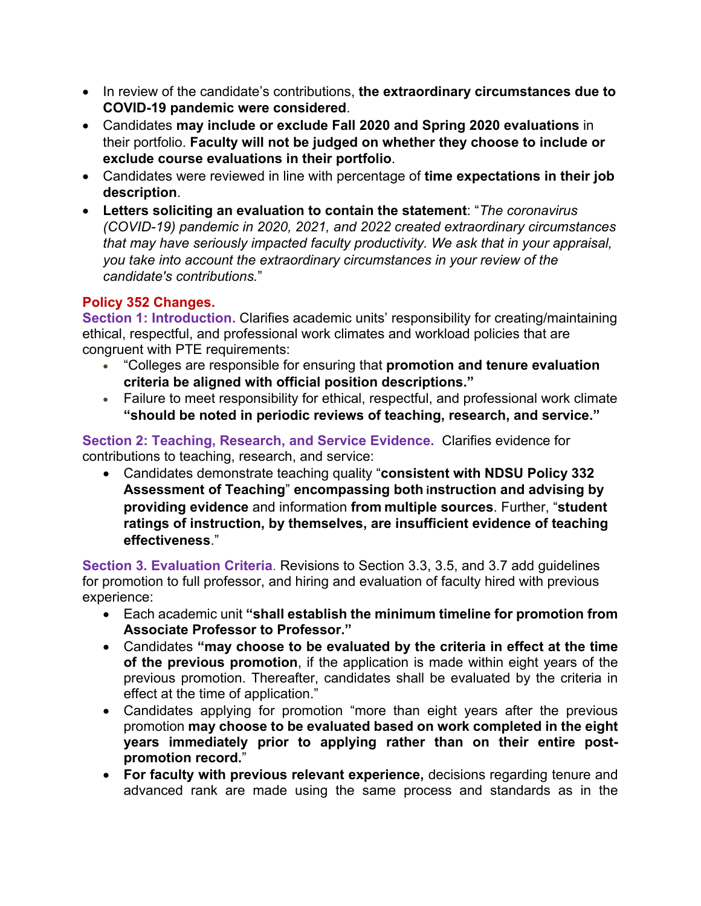- In review of the candidate's contributions, **the extraordinary circumstances due to COVID-19 pandemic were considered**.
- Candidates **may include or exclude Fall 2020 and Spring 2020 evaluations** in their portfolio. **Faculty will not be judged on whether they choose to include or exclude course evaluations in their portfolio**.
- Candidates were reviewed in line with percentage of **time expectations in their job description**.
- **Letters soliciting an evaluation to contain the statement**: "*The coronavirus (COVID-19) pandemic in 2020, 2021, and 2022 created extraordinary circumstances that may have seriously impacted faculty productivity. We ask that in your appraisal, you take into account the extraordinary circumstances in your review of the candidate's contributions.*"

# **Policy 352 Changes.**

**Section 1: Introduction.** Clarifies academic units' responsibility for creating/maintaining ethical, respectful, and professional work climates and workload policies that are congruent with PTE requirements:

- "Colleges are responsible for ensuring that **promotion and tenure evaluation criteria be aligned with official position descriptions."**
- Failure to meet responsibility for ethical, respectful, and professional work climate **"should be noted in periodic reviews of teaching, research, and service."**

**Section 2: Teaching, Research, and Service Evidence.** Clarifies evidence for contributions to teaching, research, and service:

 Candidates demonstrate teaching quality "**consistent with NDSU Policy 332 Assessment of Teaching**" **encompassing both instruction and advising by providing evidence** and information **from multiple sources**. Further, "**student ratings of instruction, by themselves, are insufficient evidence of teaching effectiveness**."

**Section 3. Evaluation Criteria**. Revisions to Section 3.3, 3.5, and 3.7 add guidelines for promotion to full professor, and hiring and evaluation of faculty hired with previous experience:

- Each academic unit **"shall establish the minimum timeline for promotion from Associate Professor to Professor."**
- Candidates **"may choose to be evaluated by the criteria in effect at the time of the previous promotion**, if the application is made within eight years of the previous promotion. Thereafter, candidates shall be evaluated by the criteria in effect at the time of application."
- Candidates applying for promotion "more than eight years after the previous promotion **may choose to be evaluated based on work completed in the eight years immediately prior to applying rather than on their entire postpromotion record.**"
- **For faculty with previous relevant experience,** decisions regarding tenure and advanced rank are made using the same process and standards as in the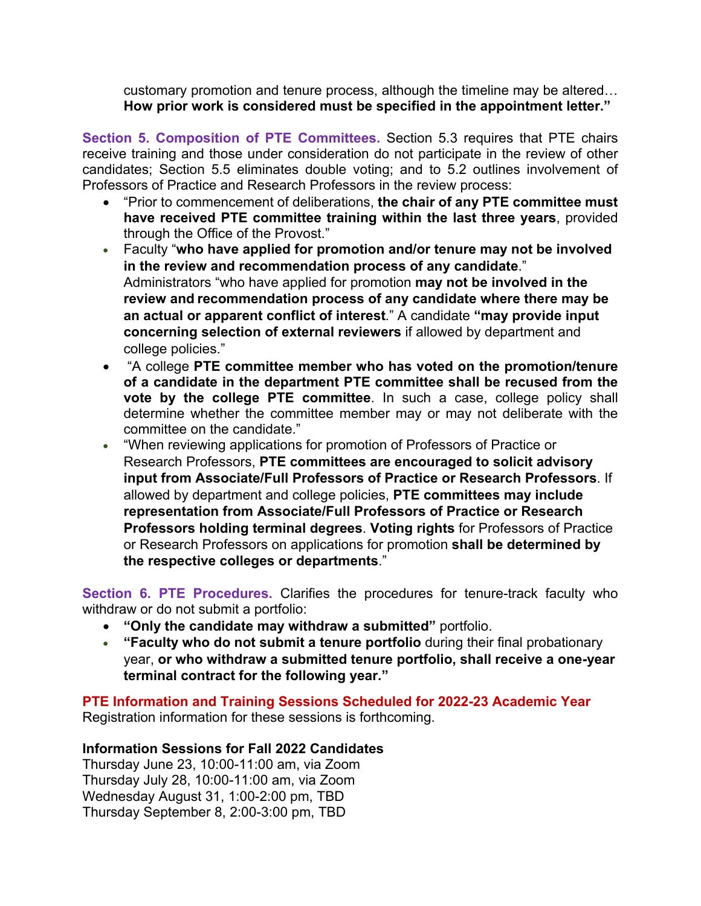customary promotion and tenure process, although the timeline may be altered… **How prior work is considered must be specified in the appointment letter."** 

**Section 5. Composition of PTE Committees.** Section 5.3 requires that PTE chairs receive training and those under consideration do not participate in the review of other candidates; Section 5.5 eliminates double voting; and to 5.2 outlines involvement of Professors of Practice and Research Professors in the review process:

- "Prior to commencement of deliberations, **the chair of any PTE committee must have received PTE committee training within the last three years**, provided through the Office of the Provost."
- Faculty "**who have applied for promotion and/or tenure may not be involved in the review and recommendation process of any candidate**." Administrators "who have applied for promotion **may not be involved in the review and recommendation process of any candidate where there may be an actual or apparent conflict of interest**." A candidate **"may provide input concerning selection of external reviewers** if allowed by department and college policies."
- "A college **PTE committee member who has voted on the promotion/tenure of a candidate in the department PTE committee shall be recused from the vote by the college PTE committee**. In such a case, college policy shall determine whether the committee member may or may not deliberate with the committee on the candidate."
- "When reviewing applications for promotion of Professors of Practice or Research Professors, **PTE committees are encouraged to solicit advisory input from Associate/Full Professors of Practice or Research Professors**. If allowed by department and college policies, **PTE committees may include representation from Associate/Full Professors of Practice or Research Professors holding terminal degrees**. **Voting rights** for Professors of Practice or Research Professors on applications for promotion **shall be determined by the respective colleges or departments**."

**Section 6. PTE Procedures.** Clarifies the procedures for tenure-track faculty who withdraw or do not submit a portfolio:

- **"Only the candidate may withdraw a submitted"** portfolio.
- **"Faculty who do not submit a tenure portfolio** during their final probationary year, **or who withdraw a submitted tenure portfolio, shall receive a one-year terminal contract for the following year."**

**PTE Information and Training Sessions Scheduled for 2022-23 Academic Year**  Registration information for these sessions is forthcoming.

## **Information Sessions for Fall 2022 Candidates**

Thursday June 23, 10:00-11:00 am, via Zoom Thursday July 28, 10:00-11:00 am, via Zoom Wednesday August 31, 1:00-2:00 pm, TBD Thursday September 8, 2:00-3:00 pm, TBD